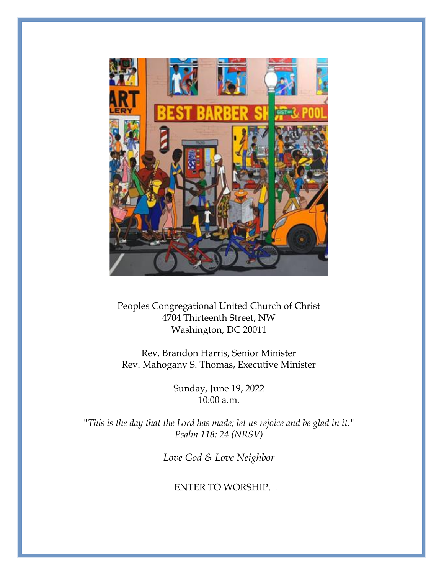

Peoples Congregational United Church of Christ 4704 Thirteenth Street, NW Washington, DC 20011

Rev. Brandon Harris, Senior Minister Rev. Mahogany S. Thomas, Executive Minister

> Sunday, June 19, 2022 10:00 a.m.

*"This is the day that the Lord has made; let us rejoice and be glad in it." Psalm 118: 24 (NRSV)*

*Love God & Love Neighbor*

ENTER TO WORSHIP…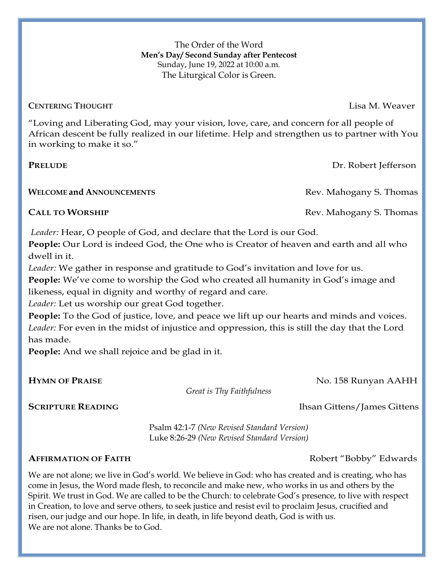The Order of the Word **Men's Day/ Second Sunday after Pentecost** Sunday, June 19, 2022 at 10:00 a.m. The Liturgical Color is Green.

**CENTERING THOUGHT** [Lisa M. Weaver](https://worship.calvin.edu/about/authors/?slug=lisa-m-weaver)

"Loving and Liberating God, may your vision, love, care, and concern for all people of African descent be fully realized in our lifetime. Help and strengthen us to partner with You in working to make it so."

**PRELUDE** Dr. Robert Jefferson

**WELCOME** and **A**NNOUNCEMENTS **Rev.** Mahogany S. Thomas

*Leader:* Hear, O people of God, and declare that the Lord is our God.

**People:** Our Lord is indeed God, the One who is Creator of heaven and earth and all who dwell in it.

*Leader:* We gather in response and gratitude to God's invitation and love for us.

**People:** We've come to worship the God who created all humanity in God's image and likeness, equal in dignity and worthy of regard and care.

*Leader:* Let us worship our great God together.

**People:** To the God of justice, love, and peace we lift up our hearts and minds and voices. *Leader:* For even in the midst of injustice and oppression, this is still the day that the Lord has made.

**People:** And we shall rejoice and be glad in it.

 *Great is Thy Faithfulness*

#### **SCRIPTURE READING** Ihsan Gittens/James Gittens

Psalm 42:1-7 *(New Revised Standard Version)* Luke 8:26-29 *(New Revised Standard Version)*

#### **AFFIRMATION OF FAITH** Robert "Bobby" Edwards

We are not alone; we live in God's world. We believe in God: who has created and is creating, who has come in Jesus, the Word made flesh, to reconcile and make new, who works in us and others by the Spirit. We trust in God. We are called to be the Church: to celebrate God's presence, to live with respect in Creation, to love and serve others, to seek justice and resist evil to proclaim Jesus, crucified and risen, our judge and our hope. In life, in death, in life beyond death, God is with us. We are not alone. Thanks be to God.

**CALL TO WORSHIP Rev. Mahogany S. Thomas** 

**HYMN OF PRAISE** No. 158 Runyan AAHH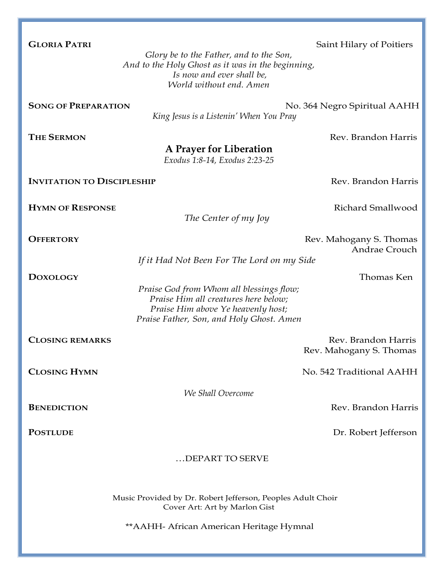| <b>GLORIA PATRI</b>                                                                          | Saint Hilary of Poitiers                                                                                                                                           |
|----------------------------------------------------------------------------------------------|--------------------------------------------------------------------------------------------------------------------------------------------------------------------|
|                                                                                              | Glory be to the Father, and to the Son,                                                                                                                            |
|                                                                                              | And to the Holy Ghost as it was in the beginning,<br>Is now and ever shall be,                                                                                     |
|                                                                                              | World without end. Amen                                                                                                                                            |
|                                                                                              |                                                                                                                                                                    |
| <b>SONG OF PREPARATION</b>                                                                   | No. 364 Negro Spiritual AAHH<br>King Jesus is a Listenin' When You Pray                                                                                            |
| <b>THE SERMON</b>                                                                            | Rev. Brandon Harris                                                                                                                                                |
|                                                                                              | A Prayer for Liberation<br>Exodus 1:8-14, Exodus 2:23-25                                                                                                           |
| <b>INVITATION TO DISCIPLESHIP</b>                                                            | Rev. Brandon Harris                                                                                                                                                |
|                                                                                              |                                                                                                                                                                    |
| <b>HYMN OF RESPONSE</b>                                                                      | Richard Smallwood                                                                                                                                                  |
|                                                                                              | The Center of my Joy                                                                                                                                               |
| <b>OFFERTORY</b>                                                                             | Rev. Mahogany S. Thomas                                                                                                                                            |
|                                                                                              | Andrae Crouch                                                                                                                                                      |
|                                                                                              | If it Had Not Been For The Lord on my Side                                                                                                                         |
| <b>DOXOLOGY</b>                                                                              | Thomas Ken                                                                                                                                                         |
|                                                                                              | Praise God from Whom all blessings flow;<br>Praise Him all creatures here below;<br>Praise Him above Ye heavenly host;<br>Praise Father, Son, and Holy Ghost. Amen |
| <b>CLOSING REMARKS</b>                                                                       | Rev. Brandon Harris                                                                                                                                                |
|                                                                                              | Rev. Mahogany S. Thomas                                                                                                                                            |
| <b>CLOSING HYMN</b>                                                                          | No. 542 Traditional AAHH                                                                                                                                           |
| We Shall Overcome                                                                            |                                                                                                                                                                    |
| <b>BENEDICTION</b>                                                                           | Rev. Brandon Harris                                                                                                                                                |
|                                                                                              |                                                                                                                                                                    |
| <b>POSTLUDE</b>                                                                              | Dr. Robert Jefferson                                                                                                                                               |
| DEPART TO SERVE                                                                              |                                                                                                                                                                    |
|                                                                                              |                                                                                                                                                                    |
|                                                                                              |                                                                                                                                                                    |
| Music Provided by Dr. Robert Jefferson, Peoples Adult Choir<br>Cover Art: Art by Marlon Gist |                                                                                                                                                                    |
|                                                                                              | ** AAHH- African American Heritage Hymnal                                                                                                                          |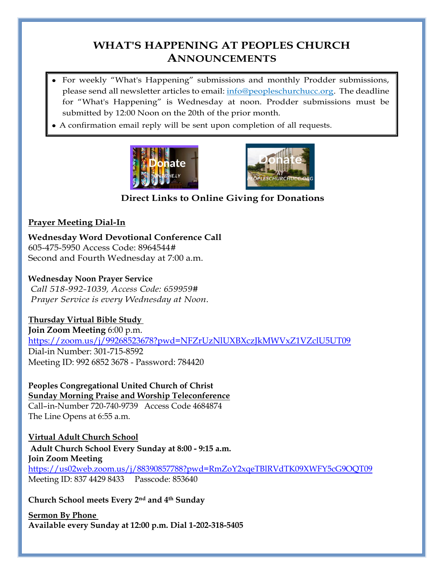### **WHAT'S HAPPENING AT PEOPLES CHURCH ANNOUNCEMENTS**

- For weekly "What's Happening" submissions and monthly Prodder submissions, please send all newsletter articles to email: [info@peopleschurchucc.org.](about:blank) The deadline for "What's Happening" is Wednesday at noon. Prodder submissions must be submitted by 12:00 Noon on the 20th of the prior month.
- A confirmation email reply will be sent upon completion of all requests.





 **Direct Links to Online Giving for Donations**

#### **Prayer Meeting Dial-In**

**Wednesday Word Devotional Conference Call** 605-475-5950 Access Code: 8964544# Second and Fourth Wednesday at 7:00 a.m.

#### **Wednesday Noon Prayer Service**

*Call 518-992-1039, Access Code: 659959# Prayer Service is every Wednesday at Noon.*

#### **Thursday Virtual Bible Study**

**Join Zoom Meeting** 6:00 p.m. <https://zoom.us/j/99268523678?pwd=NFZrUzNlUXBXczJkMWVxZ1VZclU5UT09> Dial-in Number: 301-715-8592 Meeting ID: 992 6852 3678 - Password: 784420

**Peoples Congregational United Church of Christ Sunday Morning Praise and Worship Teleconference** Call–in-Number 720-740-9739 Access Code 4684874 The Line Opens at 6:55 a.m.

**Virtual Adult Church School Adult Church School Every Sunday at 8:00 - 9:15 a.m. Join Zoom Meeting** <https://us02web.zoom.us/j/88390857788?pwd=RmZoY2xqeTBlRVdTK09XWFY5cG9OQT09> Meeting ID: 837 4429 8433 Passcode: 853640

#### **Church School meets Every 2nd and 4th Sunday**

**Sermon By Phone Available every Sunday at 12:00 p.m. Dial 1-202-318-5405**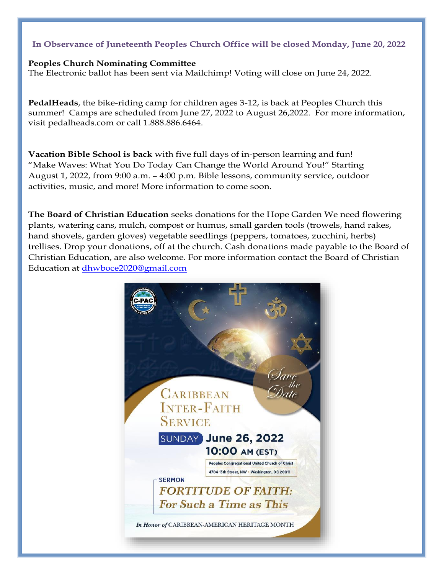#### In Observance of Juneteenth Peoples Church Office will be closed Monday, June 20, 2022

#### **Peoples Church Nominating Committee**

The Electronic ballot has been sent via Mailchimp! Voting will close on June 24, 2022.

**PedalHeads**, the bike-riding camp for children ages 3-12, is back at Peoples Church this summer! Camps are scheduled from June 27, 2022 to August 26,2022. For more information, visit pedalheads.com or call 1.888.886.6464.

**Vacation Bible School is back** with five full days of in-person learning and fun! "Make Waves: What You Do Today Can Change the World Around You!" Starting August 1, 2022, from 9:00 a.m. – 4:00 p.m. Bible lessons, community service, outdoor activities, music, and more! More information to come soon.

**The Board of Christian Education** seeks donations for the Hope Garden We need flowering plants, watering cans, mulch, compost or humus, small garden tools (trowels, hand rakes, hand shovels, garden gloves) vegetable seedlings (peppers, tomatoes, zucchini, herbs) trellises. Drop your donations, off at the church. Cash donations made payable to the Board of Christian Education, are also welcome. For more information contact the Board of Christian Education at [dhwboce2020@gmail.com](mailto:dhwboce2020@gmail.com)

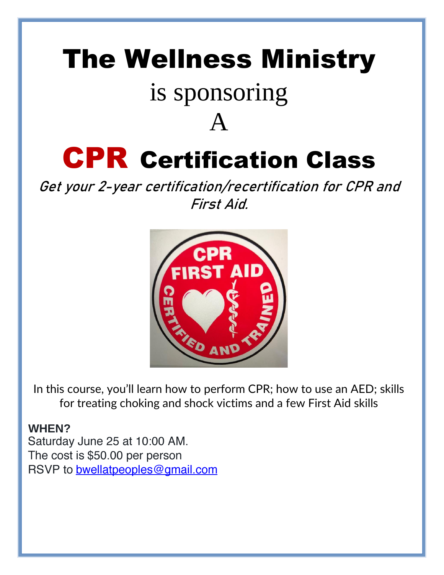# The Wellness Ministry

## is sponsoring

A

# CPR Certification Class

**Get your 2-year certification/recertification for CPR and First Aid.**



In this course, you'll learn how to perform CPR; how to use an AED; skills for treating choking and shock victims and a few First Aid skills

### **WHEN?**

Saturday June 25 at 10:00 AM. The cost is \$50.00 per person RSVP to bwellatpeoples@gmail.com